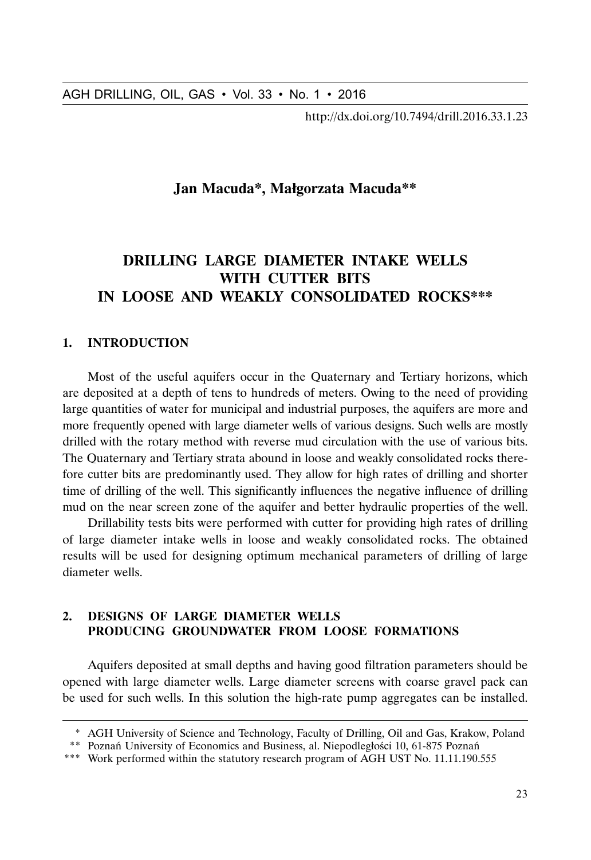http://dx.doi.org/10.7494/drill.2016.33.1.23

## **Jan Macuda\*, Małgorzata Macuda\*\***

# **DRILLING LARGE DIAMETER INTAKE WELLS WITH CUTTER BITS IN LOOSE AND WEAKLY CONSOLIDATED ROCKS\*\*\***

#### **1. INTRODUCTION**

AGH DRILLING, OIL, GAS • Vol. 33 • No. 1 • 2016<br>
http://dx.doi.org/10.7494/drill.2016.33.1.23<br>
Jan Macuda\*, Małgorzata Macuda\*\*<br> **DRILLING LARGE DIAMETER INTAKE WELLS**<br> **DRILLING LARGE DIAMETER INTAKE WELLS**<br>
IN LOOSE AND Most of the useful aquifers occur in the Quaternary and Tertiary horizons, which are deposited at a depth of tens to hundreds of meters. Owing to the need of providing large quantities of water for municipal and industrial purposes, the aquifers are more and more frequently opened with large diameter wells of various designs. Such wells are mostly drilled with the rotary method with reverse mud circulation with the use of various bits. The Quaternary and Tertiary strata abound in loose and weakly consolidated rocks therefore cutter bits are predominantly used. They allow for high rates of drilling and shorter time of drilling of the well. This significantly influences the negative influence of drilling mud on the near screen zone of the aquifer and better hydraulic properties of the well.

Drillability tests bits were performed with cutter for providing high rates of drilling of large diameter intake wells in loose and weakly consolidated rocks. The obtained results will be used for designing optimum mechanical parameters of drilling of large diameter wells.

## **2. DESIGNS OF LARGE DIAMETER WELLS PRODUCING GROUNDWATER FROM LOOSE FORMATIONS**

Aquifers deposited at small depths and having good filtration parameters should be opened with large diameter wells. Large diameter screens with coarse gravel pack can be used for such wells. In this solution the high-rate pump aggregates can be installed.

<sup>\*</sup> AGH University of Science and Technology, Faculty of Drilling, Oil and Gas, Krakow, Poland

<sup>\*\*</sup> Poznań University of Economics and Business, al. Niepodległości 10, 61-875 Poznań

<sup>\*\*\*</sup> Work performed within the statutory research program of AGH UST No. 11.11.190.555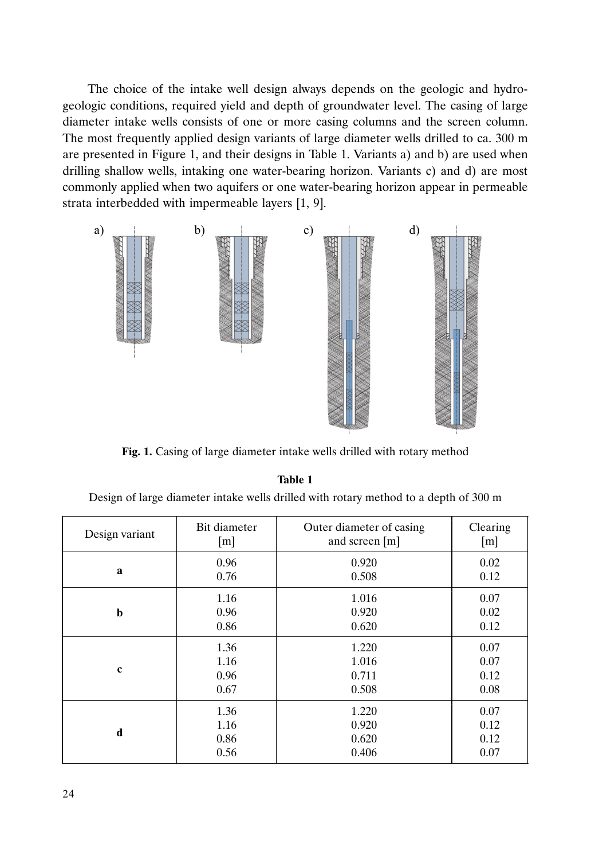The choice of the intake well design always depends on the geologic and hydrogeologic conditions, required yield and depth of groundwater level. The casing of large diameter intake wells consists of one or more casing columns and the screen column. The most frequently applied design variants of large diameter wells drilled to ca. 300 m are presented in Figure 1, and their designs in Table 1. Variants a) and b) are used when drilling shallow wells, intaking one water-bearing horizon. Variants c) and d) are most commonly applied when two aquifers or one water-bearing horizon appear in permeable strata interbedded with impermeable layers [1, 9].



Fig. 1. Casing of large diameter intake wells drilled with rotary method

#### **Table 1**

Design of large diameter intake wells drilled with rotary method to a depth of 300 m

| Design variant | Bit diameter | Outer diameter of casing | Clearing |
|----------------|--------------|--------------------------|----------|
|                | [m]          | and screen [m]           | [m]      |
| a              | 0.96         | 0.920                    | 0.02     |
|                | 0.76         | 0.508                    | 0.12     |
| $\mathbf b$    | 1.16         | 1.016                    | 0.07     |
|                | 0.96         | 0.920                    | 0.02     |
|                | 0.86         | 0.620                    | 0.12     |
| $\mathbf c$    | 1.36         | 1.220                    | 0.07     |
|                | 1.16         | 1.016                    | 0.07     |
|                | 0.96         | 0.711                    | 0.12     |
|                | 0.67         | 0.508                    | 0.08     |
| d              | 1.36         | 1.220                    | 0.07     |
|                | 1.16         | 0.920                    | 0.12     |
|                | 0.86         | 0.620                    | 0.12     |
|                | 0.56         | 0.406                    | 0.07     |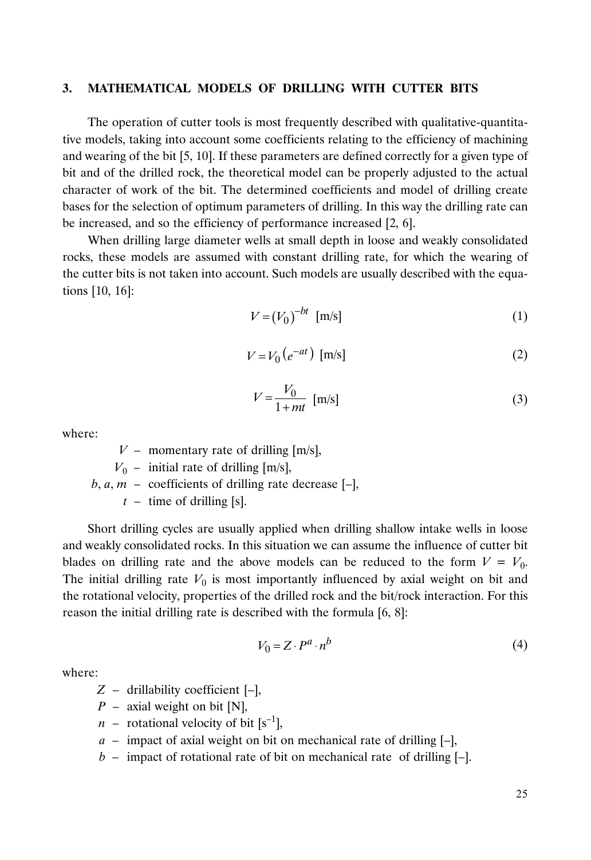#### **3. MATHEMATICAL MODELS OF DRILLING WITH CUTTER BITS**

The operation of cutter tools is most frequently described with qualitative-quantitative models, taking into account some coefficients relating to the efficiency of machining and wearing of the bit [5, 10]. If these parameters are defined correctly for a given type of bit and of the drilled rock, the theoretical model can be properly adjusted to the actual character of work of the bit. The determined coefficients and model of drilling create bases for the selection of optimum parameters of drilling. In this way the drilling rate can be increased, and so the efficiency of performance increased [2, 6].

When drilling large diameter wells at small depth in loose and weakly consolidated rocks, these models are assumed with constant drilling rate, for which the wearing of the cutter bits is not taken into account. Such models are usually described with the equations [10, 16]:

$$
V = (V_0)^{-bt} \quad [\text{m/s}] \tag{1}
$$

$$
V = V_0 \left( e^{-at} \right) \text{ [m/s]}
$$
 (2)

$$
V = \frac{V_0}{1 + mt} \quad \text{[m/s]}
$$

where:

 $V$  – momentary rate of drilling  $[m/s]$ ,  $V_0$  – initial rate of drilling  $[m/s]$ ,  $b, a, m$  – coefficients of drilling rate decrease  $[-]$ ,  $t -$  time of drilling [s].

Short drilling cycles are usually applied when drilling shallow intake wells in loose and weakly consolidated rocks. In this situation we can assume the influence of cutter bit blades on drilling rate and the above models can be reduced to the form  $V = V_0$ . The initial drilling rate  $V_0$  is most importantly influenced by axial weight on bit and the rotational velocity, properties of the drilled rock and the bit/rock interaction. For this reason the initial drilling rate is described with the formula [6, 8]:

$$
V_0 = Z \cdot P^a \cdot n^b \tag{4}
$$

where:

$$
Z
$$
 – drillability coefficient  $[-]$ ,

- *P* axial weight on bit [N],
- *n* rotational velocity of bit  $[s^{-1}]$ ,
- *a –* impact of axial weight on bit on mechanical rate of drilling [–],
- *b –* impact of rotational rate of bit on mechanical rate of drilling [–].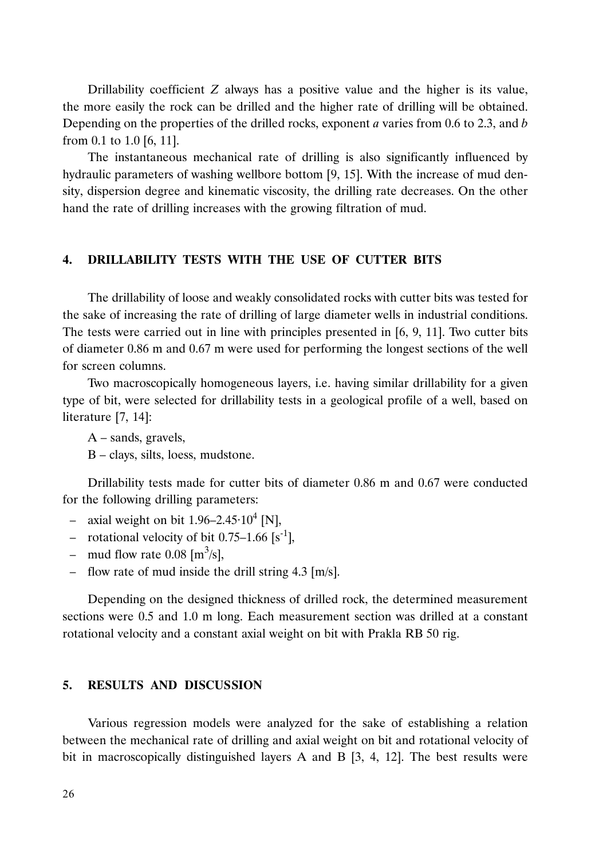Drillability coefficient *Z* always has a positive value and the higher is its value, the more easily the rock can be drilled and the higher rate of drilling will be obtained. Depending on the properties of the drilled rocks, exponent *a* varies from 0.6 to 2.3, and *b* from 0.1 to 1.0 [6, 11].

The instantaneous mechanical rate of drilling is also significantly influenced by hydraulic parameters of washing wellbore bottom [9, 15]. With the increase of mud density, dispersion degree and kinematic viscosity, the drilling rate decreases. On the other hand the rate of drilling increases with the growing filtration of mud.

#### **4. DRILLABILITY TESTS WITH THE USE OF CUTTER BITS**

The drillability of loose and weakly consolidated rocks with cutter bits was tested for the sake of increasing the rate of drilling of large diameter wells in industrial conditions. The tests were carried out in line with principles presented in [6, 9, 11]. Two cutter bits of diameter 0.86 m and 0.67 m were used for performing the longest sections of the well for screen columns.

Two macroscopically homogeneous layers, i.e. having similar drillability for a given type of bit, were selected for drillability tests in a geological profile of a well, based on literature [7, 14]:

A – sands, gravels,

B – clays, silts, loess, mudstone.

Drillability tests made for cutter bits of diameter 0.86 m and 0.67 were conducted for the following drilling parameters:

- axial weight on bit  $1.96 2.45 \cdot 10^4$  [N],
- rotational velocity of bit  $0.75-1.66$  [s<sup>-1</sup>],
- mud flow rate  $0.08 \,[\text{m}^3/\text{s}]$ ,
- flow rate of mud inside the drill string 4.3 [m/s].

Depending on the designed thickness of drilled rock, the determined measurement sections were 0.5 and 1.0 m long. Each measurement section was drilled at a constant rotational velocity and a constant axial weight on bit with Prakla RB 50 rig.

### **5. RESULTS AND DISCUSSION**

Various regression models were analyzed for the sake of establishing a relation between the mechanical rate of drilling and axial weight on bit and rotational velocity of bit in macroscopically distinguished layers A and B [3, 4, 12]. The best results were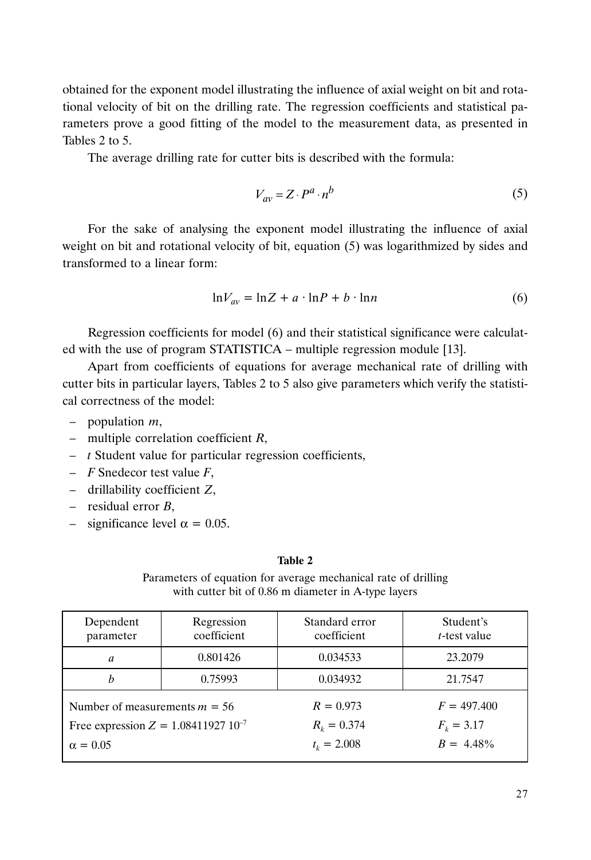obtained for the exponent model illustrating the influence of axial weight on bit and rotational velocity of bit on the drilling rate. The regression coefficients and statistical parameters prove a good fitting of the model to the measurement data, as presented in Tables 2 to 5.

The average drilling rate for cutter bits is described with the formula:

$$
V_{av} = Z \cdot P^a \cdot n^b \tag{5}
$$

For the sake of analysing the exponent model illustrating the influence of axial weight on bit and rotational velocity of bit, equation (5) was logarithmized by sides and transformed to a linear form:

$$
\ln V_{av} = \ln Z + a \cdot \ln P + b \cdot \ln n \tag{6}
$$

Regression coefficients for model (6) and their statistical significance were calculated with the use of program STATISTICA – multiple regression module [13].

Apart from coefficients of equations for average mechanical rate of drilling with cutter bits in particular layers, Tables 2 to 5 also give parameters which verify the statistical correctness of the model:

- population *m*,
- multiple correlation coefficient *R*,
- *t* Student value for particular regression coefficients,
- *F* Snedecor test value *F*,
- drillability coefficient *Z*,
- residual error *B*,
- significance level  $\alpha = 0.05$ .

#### **Table 2**

Parameters of equation for average mechanical rate of drilling with cutter bit of 0.86 m diameter in A-type layers

| Dependent                                | Regression  | Standard error    | Student's            |
|------------------------------------------|-------------|-------------------|----------------------|
| parameter                                | coefficient | coefficient       | <i>t</i> -test value |
| a                                        | 0.801426    | 0.034533          | 23.2079              |
| h                                        | 0.75993     | 0.034932          | 21.7547              |
| Number of measurements $m = 56$          |             | $R = 0.973$       | $F = 497.400$        |
| Free expression $Z = 1.08411927 10^{-7}$ |             | $R_{\nu} = 0.374$ | $F_{\nu} = 3.17$     |
| $\alpha = 0.05$                          |             | $t_k = 2.008$     | $B = 4.48\%$         |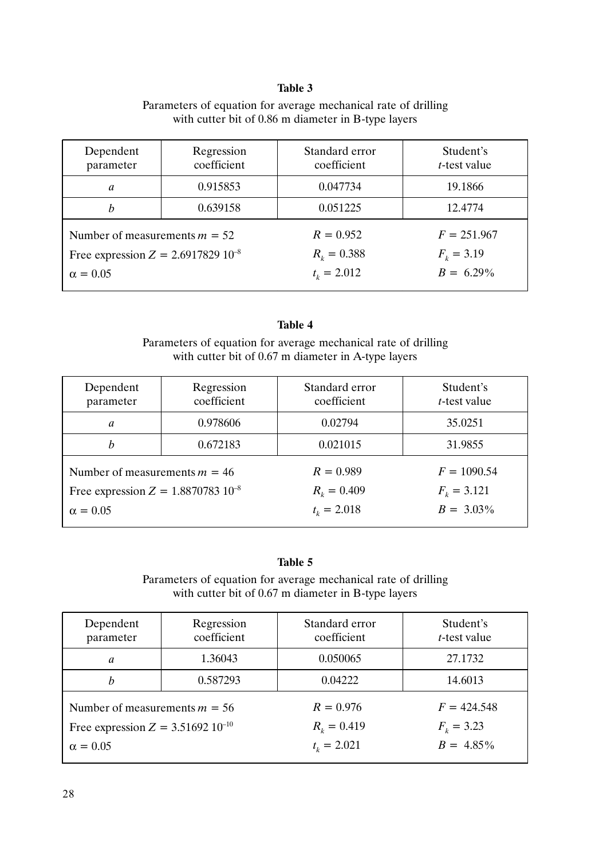### **Table 3**

| Dependent                               | Regression  | Standard error    | Student's            |
|-----------------------------------------|-------------|-------------------|----------------------|
| parameter                               | coefficient | coefficient       | <i>t</i> -test value |
| a                                       | 0.915853    | 0.047734          | 19.1866              |
| h                                       | 0.639158    | 0.051225          | 12.4774              |
| Number of measurements $m = 52$         |             | $R = 0.952$       | $F = 251.967$        |
| Free expression $Z = 2.6917829 10^{-8}$ |             | $R_k = 0.388$     | $F_k = 3.19$         |
| $\alpha = 0.05$                         |             | $t_{\nu} = 2.012$ | $B = 6.29\%$         |

## Parameters of equation for average mechanical rate of drilling with cutter bit of 0.86 m diameter in B-type layers

### **Table 4**

Parameters of equation for average mechanical rate of drilling with cutter bit of 0.67 m diameter in A-type layers

| Dependent                                  | Regression  | Standard error    | Student's            |
|--------------------------------------------|-------------|-------------------|----------------------|
| parameter                                  | coefficient | coefficient       | <i>t</i> -test value |
| a                                          | 0.978606    | 0.02794           | 35.0251              |
| h                                          | 0.672183    | 0.021015          | 31.9855              |
| Number of measurements $m = 46$            |             | $R = 0.989$       | $F = 1090.54$        |
| Free expression $Z = 1.8870783 \, 10^{-8}$ |             | $R_{\nu} = 0.409$ | $F_{k} = 3.121$      |
| $\alpha = 0.05$                            |             | $t_{k} = 2.018$   | $B = 3.03\%$         |

## **Table 5**

Parameters of equation for average mechanical rate of drilling with cutter bit of 0.67 m diameter in B-type layers

| Dependent                              | Regression  | Standard error    | Student's            |
|----------------------------------------|-------------|-------------------|----------------------|
| parameter                              | coefficient | coefficient       | <i>t</i> -test value |
| a                                      | 1.36043     | 0.050065          | 27.1732              |
| h                                      | 0.587293    | 0.04222           | 14.6013              |
| Number of measurements $m = 56$        |             | $R = 0.976$       | $F = 424.548$        |
| Free expression $Z = 3.51692 10^{-10}$ |             | $R_{\nu} = 0.419$ | $F_k = 3.23$         |
| $\alpha = 0.05$                        |             | $t_{\nu} = 2.021$ | $B = 4.85\%$         |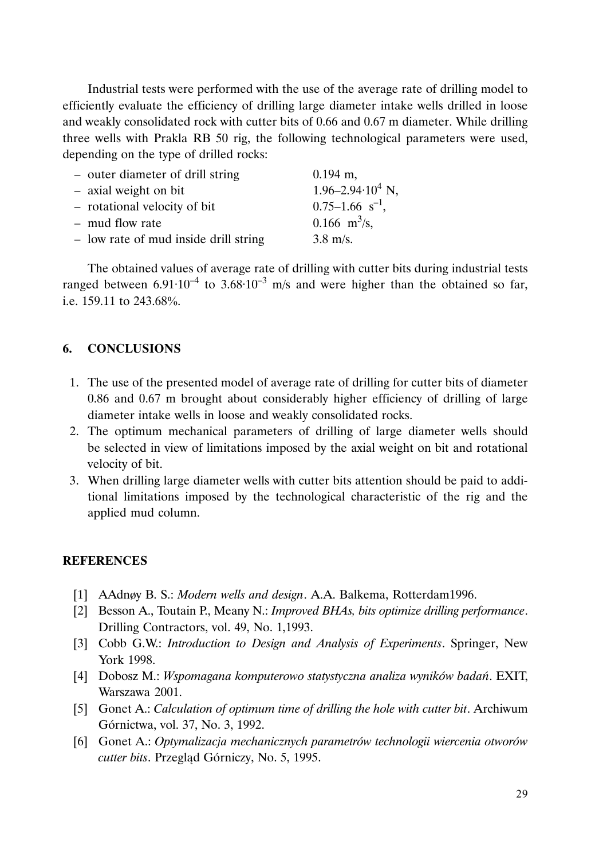Industrial tests were performed with the use of the average rate of drilling model to efficiently evaluate the efficiency of drilling large diameter intake wells drilled in loose and weakly consolidated rock with cutter bits of 0.66 and 0.67 m diameter. While drilling three wells with Prakla RB 50 rig, the following technological parameters were used, depending on the type of drilled rocks:

| - outer diameter of drill string      | $0.194$ m,                    |
|---------------------------------------|-------------------------------|
| - axial weight on bit                 | $1.96 - 2.94 \cdot 10^4$ N,   |
| - rotational velocity of bit          | $0.75-1.66$ s <sup>-1</sup> , |
| - mud flow rate                       | 0.166 $\text{m}^3\text{/s}$ , |
| - low rate of mud inside drill string | $3.8 \text{ m/s}.$            |

The obtained values of average rate of drilling with cutter bits during industrial tests ranged between  $6.91 \cdot 10^{-4}$  to  $3.68 \cdot 10^{-3}$  m/s and were higher than the obtained so far, i.e. 159.11 to 243.68 .

## **6. CONCLUSIONS**

- 1. The use of the presented model of average rate of drilling for cutter bits of diameter 0.86 and 0.67 m brought about considerably higher efficiency of drilling of large diameter intake wells in loose and weakly consolidated rocks.
- 2. The optimum mechanical parameters of drilling of large diameter wells should be selected in view of limitations imposed by the axial weight on bit and rotational velocity of bit.
- 3. When drilling large diameter wells with cutter bits attention should be paid to additional limitations imposed by the technological characteristic of the rig and the applied mud column.

#### **REFERENCES**

- [1] AAdnøy B. S.: *Modern wells and design*. A.A. Balkema, Rotterdam1996.
- [2] Besson A., Toutain P., Meany N.: *Improved BHAs, bits optimize drilling performance*. Drilling Contractors, vol. 49, No. 1,1993.
- [3] Cobb G.W.: *Introduction to Design and Analysis of Experiments*. Springer, New York 1998.
- [4] Dobosz M.: *Wspomagana komputerowo statystyczna analiza wyników badań*. EXIT, Warszawa 2001.
- [5] Gonet A.: *Calculation of optimum time of drilling the hole with cutter bit*. Archiwum Górnictwa, vol. 37, No. 3, 1992.
- [6] Gonet A.: *Optymalizacja mechanicznych parametrów technologii wiercenia otworów cutter bits*. Przegląd Górniczy, No. 5, 1995.